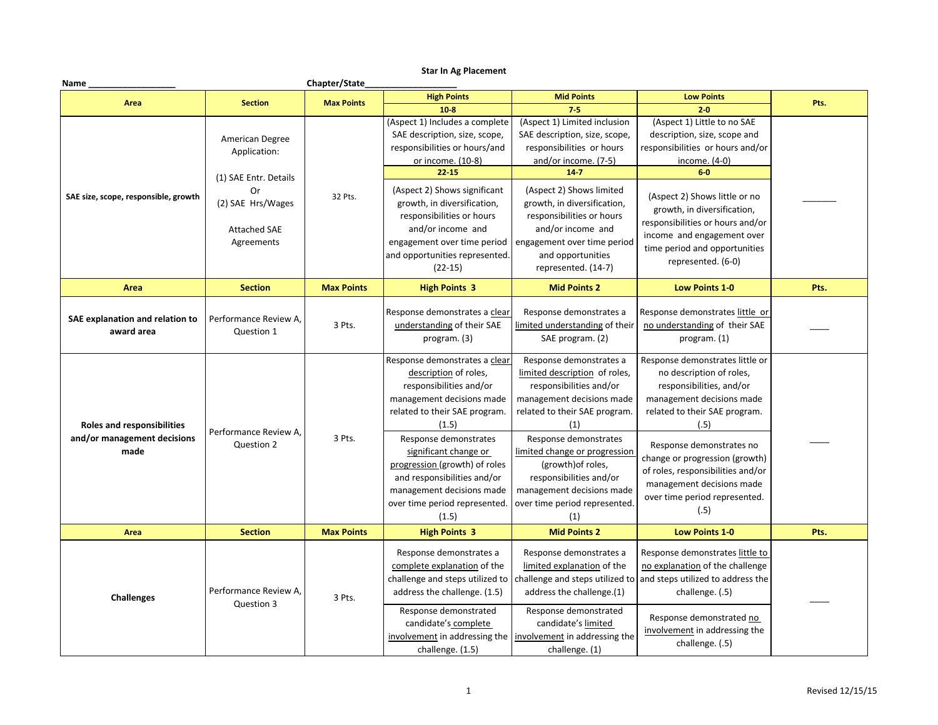## **Star In Ag Placement**

| Name                                                                     |                                                                                       | Chapter/State     |                                                                                                                                                                                                                                                                                                                                          |                                                                                                                                                                                                                                                                                                                                   |                                                                                                                                                                                                                                                                                                                                        |      |
|--------------------------------------------------------------------------|---------------------------------------------------------------------------------------|-------------------|------------------------------------------------------------------------------------------------------------------------------------------------------------------------------------------------------------------------------------------------------------------------------------------------------------------------------------------|-----------------------------------------------------------------------------------------------------------------------------------------------------------------------------------------------------------------------------------------------------------------------------------------------------------------------------------|----------------------------------------------------------------------------------------------------------------------------------------------------------------------------------------------------------------------------------------------------------------------------------------------------------------------------------------|------|
| Area                                                                     | <b>Section</b>                                                                        | <b>Max Points</b> | <b>High Points</b>                                                                                                                                                                                                                                                                                                                       | <b>Mid Points</b>                                                                                                                                                                                                                                                                                                                 | <b>Low Points</b>                                                                                                                                                                                                                                                                                                                      | Pts. |
|                                                                          |                                                                                       |                   | $10-8$                                                                                                                                                                                                                                                                                                                                   | $7 - 5$                                                                                                                                                                                                                                                                                                                           | $2 - 0$                                                                                                                                                                                                                                                                                                                                |      |
|                                                                          | American Degree<br>Application:                                                       |                   | (Aspect 1) Includes a complete<br>SAE description, size, scope,<br>responsibilities or hours/and<br>or income. (10-8)<br>$22 - 15$                                                                                                                                                                                                       | (Aspect 1) Limited inclusion<br>SAE description, size, scope,<br>responsibilities or hours<br>and/or income. (7-5)<br>$14 - 7$                                                                                                                                                                                                    | (Aspect 1) Little to no SAE<br>description, size, scope and<br>responsibilities or hours and/or<br>income. (4-0)<br>$6-0$                                                                                                                                                                                                              |      |
| SAE size, scope, responsible, growth                                     | (1) SAE Entr. Details<br>Or<br>(2) SAE Hrs/Wages<br><b>Attached SAE</b><br>Agreements | 32 Pts.           | (Aspect 2) Shows significant<br>growth, in diversification,<br>responsibilities or hours<br>and/or income and<br>engagement over time period<br>and opportunities represented.<br>$(22-15)$                                                                                                                                              | (Aspect 2) Shows limited<br>growth, in diversification,<br>responsibilities or hours<br>and/or income and<br>engagement over time period<br>and opportunities<br>represented. (14-7)                                                                                                                                              | (Aspect 2) Shows little or no<br>growth, in diversification,<br>responsibilities or hours and/or<br>income and engagement over<br>time period and opportunities<br>represented. (6-0)                                                                                                                                                  |      |
| Area                                                                     | <b>Section</b>                                                                        | <b>Max Points</b> | <b>High Points 3</b>                                                                                                                                                                                                                                                                                                                     | <b>Mid Points 2</b>                                                                                                                                                                                                                                                                                                               | <b>Low Points 1-0</b>                                                                                                                                                                                                                                                                                                                  | Pts. |
| SAE explanation and relation to<br>award area                            | Performance Review A.<br>Question 1                                                   | 3 Pts.            | Response demonstrates a clear<br>understanding of their SAE<br>program. (3)                                                                                                                                                                                                                                                              | Response demonstrates a<br>limited understanding of their<br>SAE program. (2)                                                                                                                                                                                                                                                     | Response demonstrates little or<br>no understanding of their SAE<br>program. (1)                                                                                                                                                                                                                                                       |      |
| <b>Roles and responsibilities</b><br>and/or management decisions<br>made | Performance Review A.<br>Question 2                                                   | 3 Pts.            | Response demonstrates a clear<br>description of roles,<br>responsibilities and/or<br>management decisions made<br>related to their SAE program.<br>(1.5)<br>Response demonstrates<br>significant change or<br>progression (growth) of roles<br>and responsibilities and/or<br>management decisions made<br>over time period represented. | Response demonstrates a<br>limited description of roles,<br>responsibilities and/or<br>management decisions made<br>related to their SAE program.<br>(1)<br>Response demonstrates<br>limited change or progression<br>(growth) of roles,<br>responsibilities and/or<br>management decisions made<br>over time period represented. | Response demonstrates little or<br>no description of roles,<br>responsibilities, and/or<br>management decisions made<br>related to their SAE program.<br>(.5)<br>Response demonstrates no<br>change or progression (growth)<br>of roles, responsibilities and/or<br>management decisions made<br>over time period represented.<br>(.5) |      |
| Area                                                                     | <b>Section</b>                                                                        | <b>Max Points</b> | (1.5)<br><b>High Points 3</b>                                                                                                                                                                                                                                                                                                            | (1)<br><b>Mid Points 2</b>                                                                                                                                                                                                                                                                                                        | <b>Low Points 1-0</b>                                                                                                                                                                                                                                                                                                                  | Pts. |
|                                                                          |                                                                                       |                   |                                                                                                                                                                                                                                                                                                                                          |                                                                                                                                                                                                                                                                                                                                   |                                                                                                                                                                                                                                                                                                                                        |      |
| <b>Challenges</b>                                                        | Performance Review A.<br>Question 3                                                   | 3 Pts.            | Response demonstrates a<br>complete explanation of the<br>challenge and steps utilized to<br>address the challenge. (1.5)                                                                                                                                                                                                                | Response demonstrates a<br>limited explanation of the<br>challenge and steps utilized to<br>address the challenge.(1)                                                                                                                                                                                                             | Response demonstrates little to<br>no explanation of the challenge<br>and steps utilized to address the<br>challenge. (.5)                                                                                                                                                                                                             |      |
|                                                                          |                                                                                       |                   | Response demonstrated<br>candidate's complete<br>involvement in addressing the<br>challenge. (1.5)                                                                                                                                                                                                                                       | Response demonstrated<br>candidate's limited<br>involvement in addressing the<br>challenge. (1)                                                                                                                                                                                                                                   | Response demonstrated no<br>involvement in addressing the<br>challenge. (.5)                                                                                                                                                                                                                                                           |      |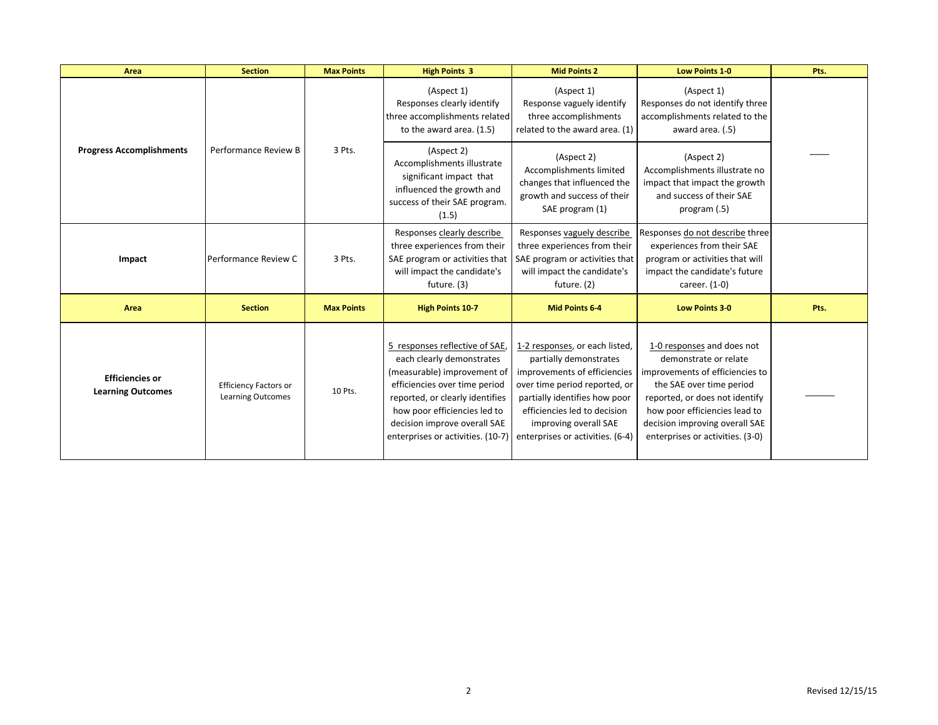| Area                                               | <b>Section</b>                                           | <b>Max Points</b> | <b>High Points 3</b>                                                                                                                                                                                                                                                | <b>Mid Points 2</b>                                                                                                                                                                                                                                     | <b>Low Points 1-0</b>                                                                                                                                                                                                                                       | Pts. |
|----------------------------------------------------|----------------------------------------------------------|-------------------|---------------------------------------------------------------------------------------------------------------------------------------------------------------------------------------------------------------------------------------------------------------------|---------------------------------------------------------------------------------------------------------------------------------------------------------------------------------------------------------------------------------------------------------|-------------------------------------------------------------------------------------------------------------------------------------------------------------------------------------------------------------------------------------------------------------|------|
|                                                    |                                                          |                   | (Aspect 1)<br>Responses clearly identify<br>three accomplishments related<br>to the award area. (1.5)                                                                                                                                                               | (Aspect 1)<br>Response vaguely identify<br>three accomplishments<br>related to the award area. (1)                                                                                                                                                      | (Aspect 1)<br>Responses do not identify three<br>accomplishments related to the<br>award area. (.5)                                                                                                                                                         |      |
| <b>Progress Accomplishments</b>                    | Performance Review B                                     | 3 Pts.            | (Aspect 2)<br>Accomplishments illustrate<br>significant impact that<br>influenced the growth and<br>success of their SAE program.<br>(1.5)                                                                                                                          | (Aspect 2)<br>Accomplishments limited<br>changes that influenced the<br>growth and success of their<br>SAE program (1)                                                                                                                                  | (Aspect 2)<br>Accomplishments illustrate no<br>impact that impact the growth<br>and success of their SAE<br>program (.5)                                                                                                                                    |      |
| Impact                                             | Performance Review C                                     | 3 Pts.            | Responses clearly describe<br>three experiences from their<br>SAE program or activities that<br>will impact the candidate's<br>future. (3)                                                                                                                          | Responses vaguely describe<br>three experiences from their<br>SAE program or activities that<br>will impact the candidate's<br>future. (2)                                                                                                              | Responses do not describe three<br>experiences from their SAE<br>program or activities that will<br>impact the candidate's future<br>career. (1-0)                                                                                                          |      |
| Area                                               | <b>Section</b>                                           | <b>Max Points</b> | <b>High Points 10-7</b>                                                                                                                                                                                                                                             | <b>Mid Points 6-4</b>                                                                                                                                                                                                                                   | <b>Low Points 3-0</b>                                                                                                                                                                                                                                       | Pts. |
| <b>Efficiencies or</b><br><b>Learning Outcomes</b> | <b>Efficiency Factors or</b><br><b>Learning Outcomes</b> | 10 Pts.           | 5 responses reflective of SAE,<br>each clearly demonstrates<br>(measurable) improvement of<br>efficiencies over time period<br>reported, or clearly identifies<br>how poor efficiencies led to<br>decision improve overall SAE<br>enterprises or activities. (10-7) | 1-2 responses, or each listed,<br>partially demonstrates<br>improvements of efficiencies<br>over time period reported, or<br>partially identifies how poor<br>efficiencies led to decision<br>improving overall SAE<br>enterprises or activities. (6-4) | 1-0 responses and does not<br>demonstrate or relate<br>improvements of efficiencies to<br>the SAE over time period<br>reported, or does not identify<br>how poor efficiencies lead to<br>decision improving overall SAE<br>enterprises or activities. (3-0) |      |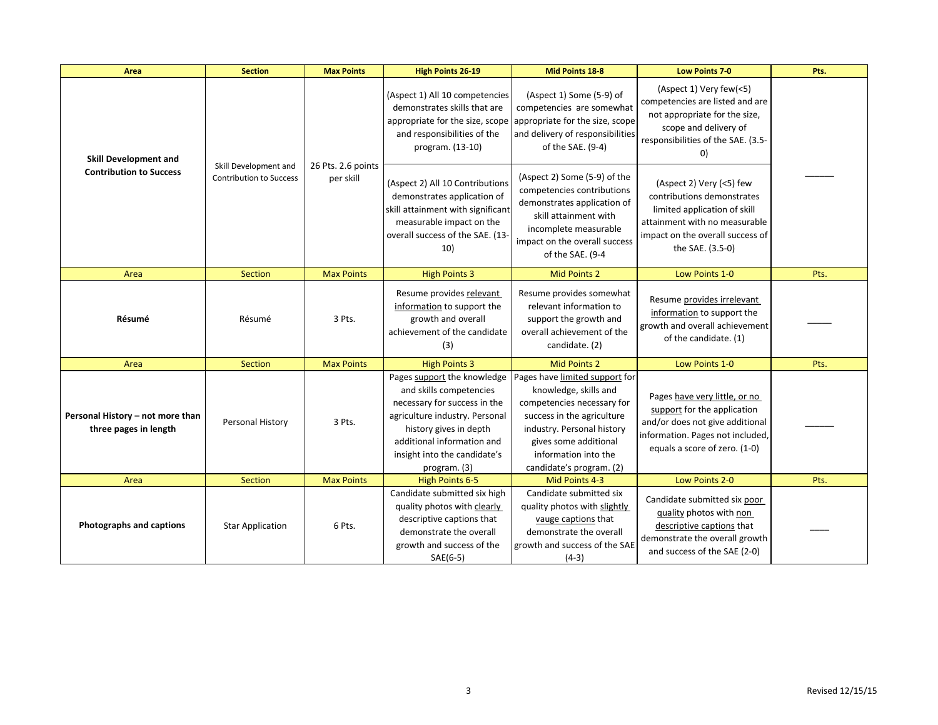| Area                                                           | <b>Section</b>                                          | <b>Max Points</b>               | <b>High Points 26-19</b>                                                                                                                                                                          | Mid Points 18-8                                                                                                                                                                                                                                            | <b>Low Points 7-0</b>                                                                                                                                                           | Pts. |
|----------------------------------------------------------------|---------------------------------------------------------|---------------------------------|---------------------------------------------------------------------------------------------------------------------------------------------------------------------------------------------------|------------------------------------------------------------------------------------------------------------------------------------------------------------------------------------------------------------------------------------------------------------|---------------------------------------------------------------------------------------------------------------------------------------------------------------------------------|------|
| <b>Skill Development and</b><br><b>Contribution to Success</b> | Skill Development and<br><b>Contribution to Success</b> | 26 Pts. 2.6 points<br>per skill | (Aspect 1) All 10 competencies<br>demonstrates skills that are<br>appropriate for the size, scope appropriate for the size, scope<br>and responsibilities of the<br>program. (13-10)              | (Aspect 1) Some (5-9) of<br>competencies are somewhat<br>and delivery of responsibilities<br>of the SAE. (9-4)                                                                                                                                             | (Aspect 1) Very few(<5)<br>competencies are listed and are<br>not appropriate for the size,<br>scope and delivery of<br>responsibilities of the SAE. (3.5-<br>0)                |      |
|                                                                |                                                         |                                 | (Aspect 2) All 10 Contributions<br>demonstrates application of<br>skill attainment with significant<br>measurable impact on the<br>overall success of the SAE. (13-<br>10)                        | (Aspect 2) Some (5-9) of the<br>competencies contributions<br>demonstrates application of<br>skill attainment with<br>incomplete measurable<br>impact on the overall success<br>of the SAE. (9-4                                                           | (Aspect 2) Very (<5) few<br>contributions demonstrates<br>limited application of skill<br>attainment with no measurable<br>impact on the overall success of<br>the SAE. (3.5-0) |      |
| Area                                                           | Section                                                 | <b>Max Points</b>               | <b>High Points 3</b>                                                                                                                                                                              | <b>Mid Points 2</b>                                                                                                                                                                                                                                        | Low Points 1-0                                                                                                                                                                  | Pts. |
| Résumé                                                         | Résumé                                                  | 3 Pts.                          | Resume provides relevant<br>information to support the<br>growth and overall<br>achievement of the candidate<br>(3)                                                                               | Resume provides somewhat<br>relevant information to<br>support the growth and<br>overall achievement of the<br>candidate. (2)                                                                                                                              | Resume provides irrelevant<br>information to support the<br>growth and overall achievement<br>of the candidate. (1)                                                             |      |
| Area                                                           | Section                                                 | <b>Max Points</b>               | <b>High Points 3</b>                                                                                                                                                                              | <b>Mid Points 2</b>                                                                                                                                                                                                                                        | Low Points 1-0                                                                                                                                                                  | Pts. |
| Personal History - not more than<br>three pages in length      | Personal History                                        | 3 Pts.                          | and skills competencies<br>necessary for success in the<br>agriculture industry. Personal<br>history gives in depth<br>additional information and<br>insight into the candidate's<br>program. (3) | Pages support the knowledge Pages have limited support for<br>knowledge, skills and<br>competencies necessary for<br>success in the agriculture<br>industry. Personal history<br>gives some additional<br>information into the<br>candidate's program. (2) | Pages have very little, or no<br>support for the application<br>and/or does not give additional<br>information. Pages not included,<br>equals a score of zero. (1-0)            |      |
| Area                                                           | Section                                                 | <b>Max Points</b>               | <b>High Points 6-5</b>                                                                                                                                                                            | Mid Points 4-3                                                                                                                                                                                                                                             | Low Points 2-0                                                                                                                                                                  | Pts. |
| Photographs and captions                                       | <b>Star Application</b>                                 | 6 Pts.                          | Candidate submitted six high<br>quality photos with clearly<br>descriptive captions that<br>demonstrate the overall<br>growth and success of the<br>SAE(6-5)                                      | Candidate submitted six<br>quality photos with slightly<br>vauge captions that<br>demonstrate the overall<br>growth and success of the SAE<br>$(4-3)$                                                                                                      | Candidate submitted six poor<br>quality photos with non<br>descriptive captions that<br>demonstrate the overall growth<br>and success of the SAE (2-0)                          |      |